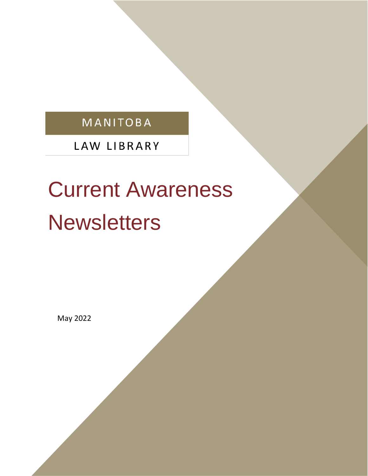# MANITOBA

LAW LIBRARY

# Current Awareness **Newsletters**

May 2022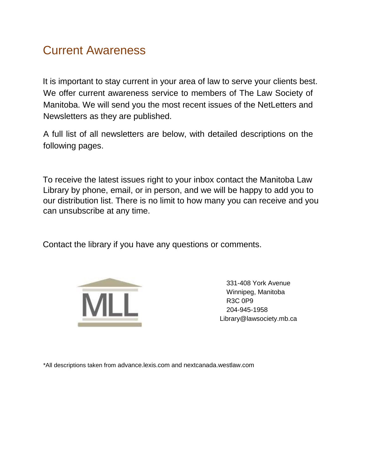#### Current Awareness

It is important to stay current in your area of law to serve your clients best. We offer current awareness service to members of The Law Society of Manitoba. We will send you the most recent issues of the NetLetters and Newsletters as they are published.

A full list of all newsletters are below, with detailed descriptions on the following pages.

To receive the latest issues right to your inbox contact the Manitoba Law Library by phone, email, or in person, and we will be happy to add you to our distribution list. There is no limit to how many you can receive and you can unsubscribe at any time.

Contact the library if you have any questions or comments.



331-408 York Avenue Winnipeg, Manitoba R3C 0P9 204-945-1958 Library@lawsociety.mb.ca

\*All descriptions taken from advance.lexis.com and nextcanada.westlaw.com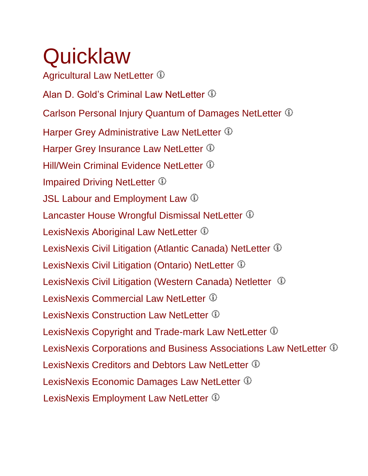# **Quicklaw**

Agricultural Law NetLetter  $\Phi$ AlanD. Gold's Criminal Law NetLetter  $\Phi$ Carlson Personal Injury Quantum of Damages NetLetter Harper Grey Administrative Law NetLetter  $\Phi$ Harper Grey Insurance Law NetLetter  $\Phi$ Hill/WeinCriminal Evidence NetLetter <sup>10</sup> ImpairedDriving NetLetter  $\Phi$ JSL Labour and Employment Law  $\mathbb D$ LancasterHouse Wrongful Dismissal NetLetter  $\mathbb D$ LexisNexis Aboriginal Law NetLetter  $\Phi$ LexisNexis Civil Litigation (Atlantic Canada) NetLetter  $\Phi$ LexisNexis Civil Litigation (Ontario) NetLetter <sup>1</sup> LexisNexis Civil Litigation (Western Canada) Netletter  $\circled{1}$ LexisNexis Commercial Law NetLetter  $\Phi$ LexisNexisConstruction Law NetLetter  $\Phi$ LexisNexisCopyright and Trade-mark Law NetLetter  $\mathbb{\Phi}$ LexisNexis Corporations and Business Associations Law NetLetter  $\Phi$ LexisNexis Creditors and Debtors Law NetLetter LexisNexis Economic Damages Law NetLetter  $\Phi$ LexisNexisEmployment Law NetLetter  $\Phi$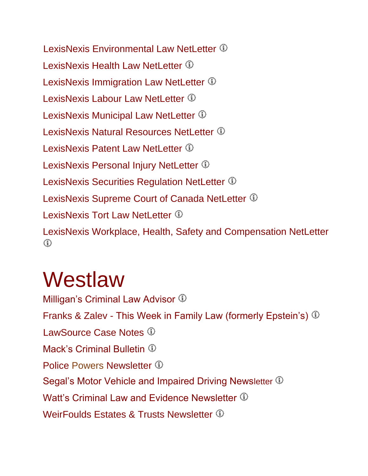LexisNexis Environmental Law NetLetter  $\mathbb D$ LexisNexis Health Law NetLetter  $\Phi$ LexisNexisImmigration Law NetLetter  $\Phi$ LexisNexisLabour Law NetLetter <sup>1</sup> LexisNexisMunicipal Law NetLetter  $\Phi$ LexisNexisNatural Resources NetLetter  $\mathbb O$ LexisNexis Patent Law NetLetter  $\Phi$ LexisNexis Personal Injury NetLetter <sup>1</sup> LexisNexis Securities Regulation NetLetter  $\Phi$ LexisNexis Supreme Court of Canada NetLetter  $\Phi$ LexisNexis Tort Law NetLetter  $\Phi$ LexisNexis Workplace, Health, Safety and Compensation NetLetter ⋒

# **Westlaw**

Milligan'sCriminal Law Advisor <sup>1</sup> Franks & Zalev - This Week in Family Law (formerly Epstein's) LawSource Case Notes  $\mathbb O$ Mack'sCriminal Bulletin  $\mathbb D$ PolicePowers Newsletter  $\Phi$ Segal's Motor Vehicle and Impaired Driving Newsletter  $\mathbb D$ Watt'sCriminal Law and Evidence Newsletter  $\Phi$ WeirFouldsEstates & Trusts Newsletter  $\Phi$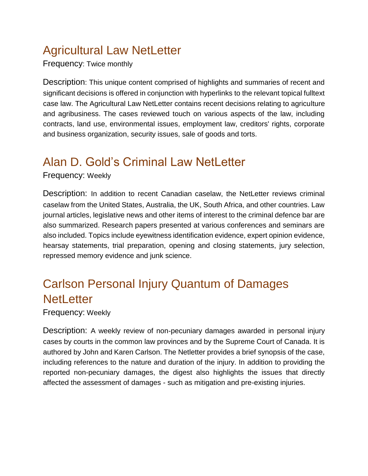# Agricultural Law NetLetter

Frequency: Twice monthly

Description: This unique content comprised of highlights and summaries of recent and significant decisions is offered in conjunction with hyperlinks to the relevant topical fulltext case law. The Agricultural Law NetLetter contains recent decisions relating to agriculture and agribusiness. The cases reviewed touch on various aspects of the law, including contracts, land use, environmental issues, employment law, creditors' rights, corporate and business organization, security issues, sale of goods and torts.

# <span id="page-4-0"></span>Alan D. Gold's Criminal Law NetLetter

Frequency: Weekly

Description: In addition to recent Canadian caselaw, the NetLetter reviews criminal caselaw from the United States, Australia, the UK, South Africa, and other countries. Law journal articles, legislative news and other items of interest to the criminal defence bar are also summarized. Research papers presented at various conferences and seminars are also included. Topics include eyewitness identification evidence, expert opinion evidence, hearsay statements, trial preparation, opening and closing statements, jury selection, repressed memory evidence and junk science.

# Carlson Personal Injury Quantum of Damages **NetLetter**

Frequency: Weekly

Description: A weekly review of non-pecuniary damages awarded in personal injury cases by courts in the common law provinces and by the Supreme Court of Canada. It is authored by John and Karen Carlson. The Netletter provides a brief synopsis of the case, including references to the nature and duration of the injury. In addition to providing the reported non-pecuniary damages, the digest also highlights the issues that directly affected the assessment of damages - such as mitigation and pre-existing injuries.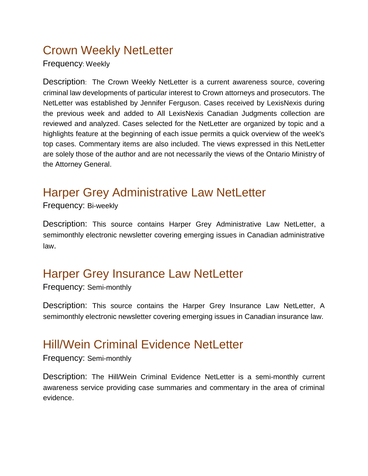# Crown Weekly NetLetter

Frequency: Weekly

Description: The Crown Weekly NetLetter is a current awareness source, covering criminal law developments of particular interest to Crown attorneys and prosecutors. The NetLetter was established by Jennifer Ferguson. Cases received by LexisNexis during the previous week and added to All LexisNexis Canadian Judgments collection are reviewed and analyzed. Cases selected for the NetLetter are organized by topic and a highlights feature at the beginning of each issue permits a quick overview of the week's top cases. Commentary items are also included. The views expressed in this NetLetter are solely those of the author and are not necessarily the views of the Ontario Ministry of the Attorney General.

# Harper Grey Administrative Law NetLetter

Frequency: Bi-weekly

Description: This source contains Harper Grey Administrative Law NetLetter, a semimonthly electronic newsletter covering emerging issues in Canadian administrative law.

# Harper Grey Insurance Law NetLetter

Frequency: Semi-monthly

Description: This source contains the Harper Grey Insurance Law NetLetter, A semimonthly electronic newsletter covering emerging issues in Canadian insurance law.

#### <span id="page-5-0"></span>Hill/Wein Criminal Evidence NetLetter

Frequency: Semi-monthly

Description: The Hill/Wein Criminal Evidence NetLetter is a semi-monthly current awareness service providing case summaries and commentary in the area of criminal evidence.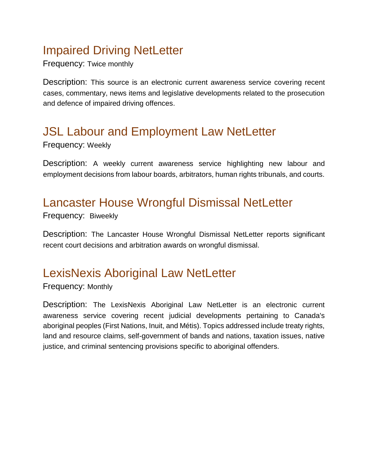# <span id="page-6-0"></span>Impaired Driving NetLetter

Frequency: Twice monthly

Description: This source is an electronic current awareness service covering recent cases, commentary, news items and legislative developments related to the prosecution and defence of impaired driving offences.

# JSL Labour and Employment Law NetLetter

Frequency: Weekly

Description: A weekly current awareness service highlighting new labour and employment decisions from labour boards, arbitrators, human rights tribunals, and courts.

#### <span id="page-6-1"></span>Lancaster House Wrongful Dismissal NetLetter

Frequency: Biweekly

Description: The Lancaster House Wrongful Dismissal NetLetter reports significant recent court decisions and arbitration awards on wrongful dismissal.

# LexisNexis Aboriginal Law NetLetter

Frequency: Monthly

Description: The LexisNexis Aboriginal Law NetLetter is an electronic current awareness service covering recent judicial developments pertaining to Canada's aboriginal peoples (First Nations, Inuit, and Métis). Topics addressed include treaty rights, land and resource claims, self-government of bands and nations, taxation issues, native justice, and criminal sentencing provisions specific to aboriginal offenders.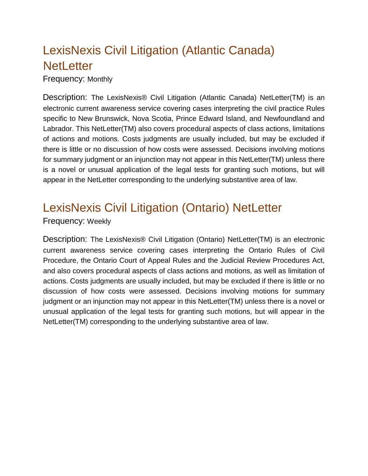# LexisNexis Civil Litigation (Atlantic Canada) **NetLetter**

Frequency: Monthly

Description: The LexisNexis® Civil Litigation (Atlantic Canada) NetLetter(TM) is an electronic current awareness service covering cases interpreting the civil practice Rules specific to New Brunswick, Nova Scotia, Prince Edward Island, and Newfoundland and Labrador. This NetLetter(TM) also covers procedural aspects of class actions, limitations of actions and motions. Costs judgments are usually included, but may be excluded if there is little or no discussion of how costs were assessed. Decisions involving motions for summary judgment or an injunction may not appear in this NetLetter(TM) unless there is a novel or unusual application of the legal tests for granting such motions, but will appear in the NetLetter corresponding to the underlying substantive area of law.

### LexisNexis Civil Litigation (Ontario) NetLetter

#### Frequency: Weekly

Description: The LexisNexis® Civil Litigation (Ontario) NetLetter(TM) is an electronic current awareness service covering cases interpreting the Ontario Rules of Civil Procedure, the Ontario Court of Appeal Rules and the Judicial Review Procedures Act, and also covers procedural aspects of class actions and motions, as well as limitation of actions. Costs judgments are usually included, but may be excluded if there is little or no discussion of how costs were assessed. Decisions involving motions for summary judgment or an injunction may not appear in this NetLetter(TM) unless there is a novel or unusual application of the legal tests for granting such motions, but will appear in the NetLetter(TM) corresponding to the underlying substantive area of law.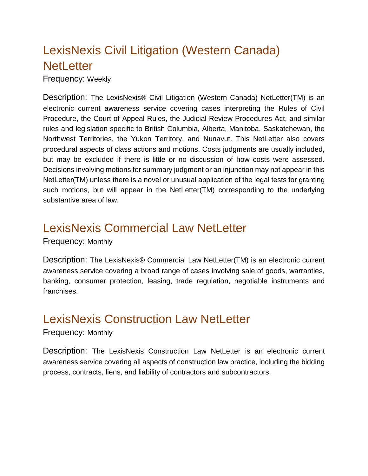# LexisNexis Civil Litigation (Western Canada) **NetLetter**

Frequency: Weekly

Description: The LexisNexis® Civil Litigation (Western Canada) NetLetter(TM) is an electronic current awareness service covering cases interpreting the Rules of Civil Procedure, the Court of Appeal Rules, the Judicial Review Procedures Act, and similar rules and legislation specific to British Columbia, Alberta, Manitoba, Saskatchewan, the Northwest Territories, the Yukon Territory, and Nunavut. This NetLetter also covers procedural aspects of class actions and motions. Costs judgments are usually included, but may be excluded if there is little or no discussion of how costs were assessed. Decisions involving motions for summary judgment or an injunction may not appear in this NetLetter(TM) unless there is a novel or unusual application of the legal tests for granting such motions, but will appear in the NetLetter(TM) corresponding to the underlying substantive area of law.

#### LexisNexis Commercial Law NetLetter

Frequency: Monthly

Description: The LexisNexis® Commercial Law NetLetter(TM) is an electronic current awareness service covering a broad range of cases involving sale of goods, warranties, banking, consumer protection, leasing, trade regulation, negotiable instruments and franchises.

#### <span id="page-8-0"></span>LexisNexis Construction Law NetLetter

#### Frequency: Monthly

Description: The LexisNexis Construction Law NetLetter is an electronic current awareness service covering all aspects of construction law practice, including the bidding process, contracts, liens, and liability of contractors and subcontractors.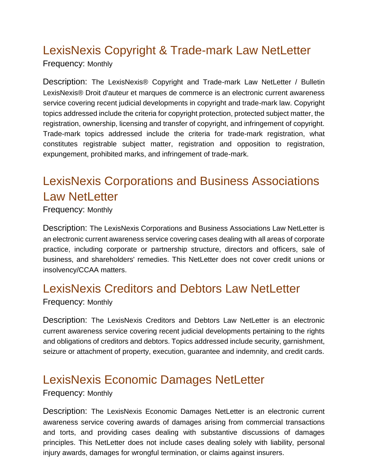# <span id="page-9-0"></span>LexisNexis Copyright & Trade-mark Law NetLetter

Frequency: Monthly

Description: The LexisNexis® Copyright and Trade-mark Law NetLetter / Bulletin LexisNexis® Droit d'auteur et marques de commerce is an electronic current awareness service covering recent judicial developments in copyright and trade-mark law. Copyright topics addressed include the criteria for copyright protection, protected subject matter, the registration, ownership, licensing and transfer of copyright, and infringement of copyright. Trade-mark topics addressed include the criteria for trade-mark registration, what constitutes registrable subject matter, registration and opposition to registration, expungement, prohibited marks, and infringement of trade-mark.

# LexisNexis Corporations and Business Associations Law NetLetter

Frequency: Monthly

Description: The LexisNexis Corporations and Business Associations Law NetLetter is an electronic current awareness service covering cases dealing with all areas of corporate practice, including corporate or partnership structure, directors and officers, sale of business, and shareholders' remedies. This NetLetter does not cover credit unions or insolvency/CCAA matters.

#### LexisNexis Creditors and Debtors Law NetLetter

Frequency: Monthly

Description: The LexisNexis Creditors and Debtors Law NetLetter is an electronic current awareness service covering recent judicial developments pertaining to the rights and obligations of creditors and debtors. Topics addressed include security, garnishment, seizure or attachment of property, execution, guarantee and indemnity, and credit cards.

#### LexisNexis Economic Damages NetLetter

Frequency: Monthly

Description: The LexisNexis Economic Damages NetLetter is an electronic current awareness service covering awards of damages arising from commercial transactions and torts, and providing cases dealing with substantive discussions of damages principles. This NetLetter does not include cases dealing solely with liability, personal injury awards, damages for wrongful termination, or claims against insurers.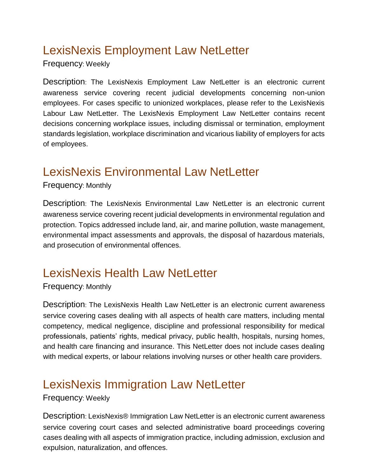# <span id="page-10-0"></span>LexisNexis Employment Law NetLetter

Frequency: Weekly

Description: The LexisNexis Employment Law NetLetter is an electronic current awareness service covering recent judicial developments concerning non-union employees. For cases specific to unionized workplaces, please refer to the LexisNexis Labour Law NetLetter. The LexisNexis Employment Law NetLetter contains recent decisions concerning workplace issues, including dismissal or termination, employment standards legislation, workplace discrimination and vicarious liability of employers for acts of employees.

### LexisNexis Environmental Law NetLetter

Frequency: Monthly

Description: The LexisNexis Environmental Law NetLetter is an electronic current awareness service covering recent judicial developments in environmental regulation and protection. Topics addressed include land, air, and marine pollution, waste management, environmental impact assessments and approvals, the disposal of hazardous materials, and prosecution of environmental offences.

#### LexisNexis Health Law NetLetter

Frequency: Monthly

Description: The LexisNexis Health Law NetLetter is an electronic current awareness service covering cases dealing with all aspects of health care matters, including mental competency, medical negligence, discipline and professional responsibility for medical professionals, patients' rights, medical privacy, public health, hospitals, nursing homes, and health care financing and insurance. This NetLetter does not include cases dealing with medical experts, or labour relations involving nurses or other health care providers.

#### <span id="page-10-1"></span>LexisNexis Immigration Law NetLetter

Frequency: Weekly

Description: LexisNexis® Immigration Law NetLetter is an electronic current awareness service covering court cases and selected administrative board proceedings covering cases dealing with all aspects of immigration practice, including admission, exclusion and expulsion, naturalization, and offences.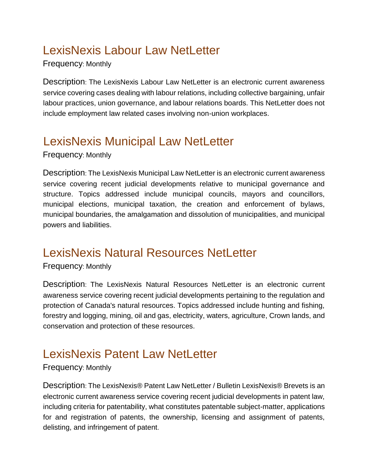# <span id="page-11-0"></span>LexisNexis Labour Law NetLetter

Frequency: Monthly

Description: The LexisNexis Labour Law NetLetter is an electronic current awareness service covering cases dealing with labour relations, including collective bargaining, unfair labour practices, union governance, and labour relations boards. This NetLetter does not include employment law related cases involving non-union workplaces.

# <span id="page-11-1"></span>LexisNexis Municipal Law NetLetter

Frequency: Monthly

Description: The LexisNexis Municipal Law NetLetter is an electronic current awareness service covering recent judicial developments relative to municipal governance and structure. Topics addressed include municipal councils, mayors and councillors, municipal elections, municipal taxation, the creation and enforcement of bylaws, municipal boundaries, the amalgamation and dissolution of municipalities, and municipal powers and liabilities.

# <span id="page-11-2"></span>LexisNexis Natural Resources NetLetter

Frequency: Monthly

Description: The LexisNexis Natural Resources NetLetter is an electronic current awareness service covering recent judicial developments pertaining to the regulation and protection of Canada's natural resources. Topics addressed include hunting and fishing, forestry and logging, mining, oil and gas, electricity, waters, agriculture, Crown lands, and conservation and protection of these resources.

#### LexisNexis Patent Law NetLetter

#### Frequency: Monthly

Description: The LexisNexis® Patent Law NetLetter / Bulletin LexisNexis® Brevets is an electronic current awareness service covering recent judicial developments in patent law, including criteria for patentability, what constitutes patentable subject-matter, applications for and registration of patents, the ownership, licensing and assignment of patents, delisting, and infringement of patent.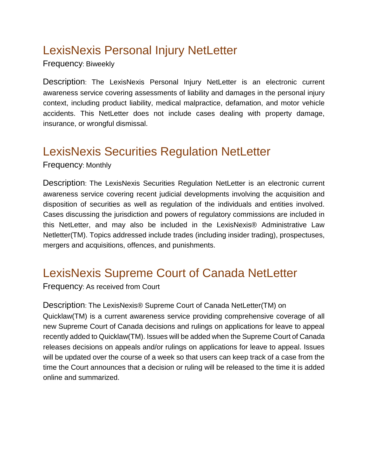# LexisNexis Personal Injury NetLetter

Frequency: Biweekly

Description: The LexisNexis Personal Injury NetLetter is an electronic current awareness service covering assessments of liability and damages in the personal injury context, including product liability, medical malpractice, defamation, and motor vehicle accidents. This NetLetter does not include cases dealing with property damage, insurance, or wrongful dismissal.

### LexisNexis Securities Regulation NetLetter

Frequency: Monthly

Description: The LexisNexis Securities Regulation NetLetter is an electronic current awareness service covering recent judicial developments involving the acquisition and disposition of securities as well as regulation of the individuals and entities involved. Cases discussing the jurisdiction and powers of regulatory commissions are included in this NetLetter, and may also be included in the LexisNexis® Administrative Law Netletter(TM). Topics addressed include trades (including insider trading), prospectuses, mergers and acquisitions, offences, and punishments.

# LexisNexis Supreme Court of Canada NetLetter

Frequency: As received from Court

Description: The LexisNexis® Supreme Court of Canada NetLetter(TM) on Quicklaw(TM) is a current awareness service providing comprehensive coverage of all new Supreme Court of Canada decisions and rulings on applications for leave to appeal recently added to Quicklaw(TM). Issues will be added when the Supreme Court of Canada releases decisions on appeals and/or rulings on applications for leave to appeal. Issues will be updated over the course of a week so that users can keep track of a case from the time the Court announces that a decision or ruling will be released to the time it is added online and summarized.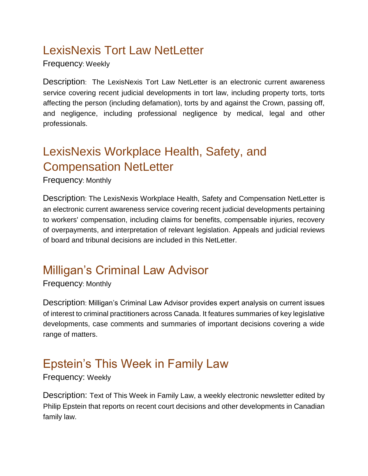# LexisNexis Tort Law NetLetter

Frequency: Weekly

Description: The LexisNexis Tort Law NetLetter is an electronic current awareness service covering recent judicial developments in tort law, including property torts, torts affecting the person (including defamation), torts by and against the Crown, passing off, and negligence, including professional negligence by medical, legal and other professionals.

# LexisNexis Workplace Health, Safety, and Compensation NetLetter

Frequency: Monthly

Description: The LexisNexis Workplace Health, Safety and Compensation NetLetter is an electronic current awareness service covering recent judicial developments pertaining to workers' compensation, including claims for benefits, compensable injuries, recovery of overpayments, and interpretation of relevant legislation. Appeals and judicial reviews of board and tribunal decisions are included in this NetLetter.

# <span id="page-13-0"></span>Milligan's Criminal Law Advisor

Frequency: Monthly

Description: Milligan's Criminal Law Advisor provides expert analysis on current issues of interest to criminal practitioners across Canada. It features summaries of key legislative developments, case comments and summaries of important decisions covering a wide range of matters.

# Epstein's This Week in Family Law

Frequency: Weekly

Description: Text of This Week in Family Law, a weekly electronic newsletter edited by Philip Epstein that reports on recent court decisions and other developments in Canadian family law.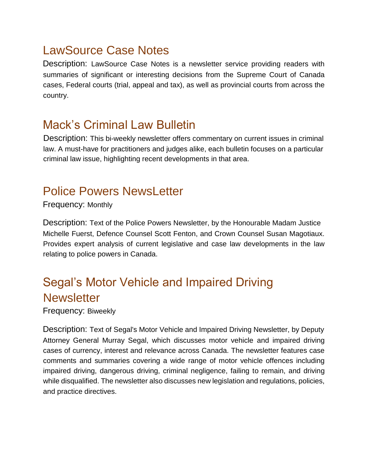### LawSource Case Notes

Description: LawSource Case Notes is a newsletter service providing readers with summaries of significant or interesting decisions from the Supreme Court of Canada cases, Federal courts (trial, appeal and tax), as well as provincial courts from across the country.

#### <span id="page-14-0"></span>Mack's Criminal Law Bulletin

Description: This bi-weekly newsletter offers commentary on current issues in criminal law. A must-have for practitioners and judges alike, each bulletin focuses on a particular criminal law issue, highlighting recent developments in that area.

#### <span id="page-14-1"></span>Police Powers NewsLetter

Frequency: Monthly

Description: Text of the Police Powers Newsletter, by the Honourable Madam Justice Michelle Fuerst, Defence Counsel Scott Fenton, and Crown Counsel Susan Magotiaux. Provides expert analysis of current legislative and case law developments in the law relating to police powers in Canada.

# Segal's Motor Vehicle and Impaired Driving **Newsletter**

Frequency: Biweekly

Description: Text of Segal's Motor Vehicle and Impaired Driving Newsletter, by Deputy Attorney General Murray Segal, which discusses motor vehicle and impaired driving cases of currency, interest and relevance across Canada. The newsletter features case comments and summaries covering a wide range of motor vehicle offences including impaired driving, dangerous driving, criminal negligence, failing to remain, and driving while disqualified. The newsletter also discusses new legislation and regulations, policies, and practice directives.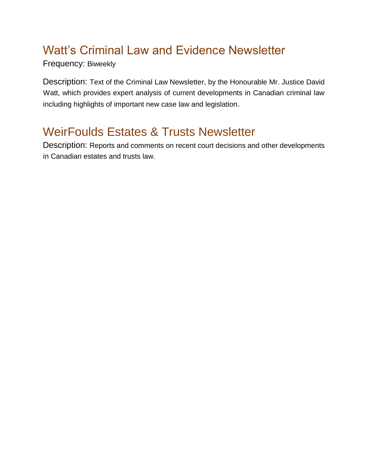# <span id="page-15-0"></span>Watt's Criminal Law and Evidence Newsletter

Frequency: Biweekly

Description: Text of the Criminal Law Newsletter, by the Honourable Mr. Justice David Watt, which provides expert analysis of current developments in Canadian criminal law including highlights of important new case law and legislation.

# <span id="page-15-1"></span>WeirFoulds Estates & Trusts Newsletter

Description: Reports and comments on recent court decisions and other developments in Canadian estates and trusts law.